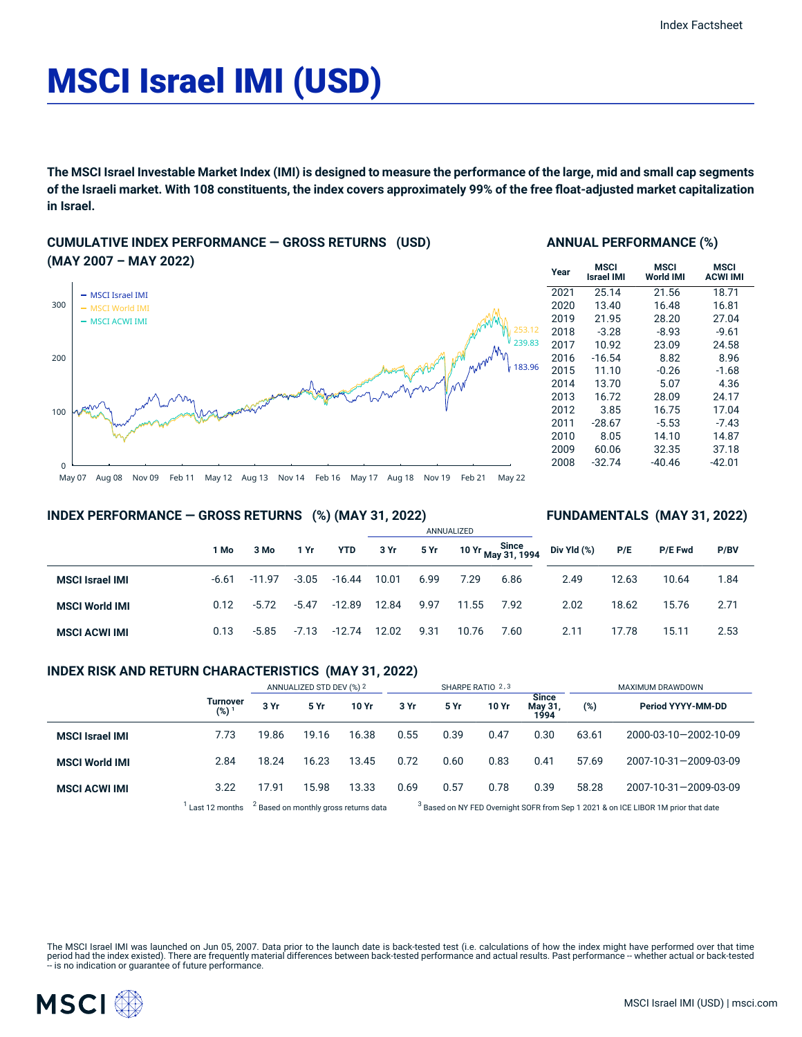# MSCI Israel IMI (USD)

The MSCI Israel Investable Market Index (IMI) is designed to measure the performance of the large, mid and small cap segments of the Israeli market. With 108 constituents, the index covers approximately 99% of the free float-adjusted market capitalization **in Israel.**

# **CUMULATIVE INDEX PERFORMANCE — GROSS RETURNS (USD) (MAY 2007 – MAY 2022)**



# **ANNUAL PERFORMANCE (%)**

| Year | MSCI<br><b>Israel IMI</b> | MSCI<br>World IMI | MSCI<br><b>ACWI IMI</b> |
|------|---------------------------|-------------------|-------------------------|
| 2021 | 25.14                     | 21.56             | 18.71                   |
| 2020 | 13.40                     | 16.48             | 16.81                   |
| 2019 | 21.95                     | 28.20             | 27.04                   |
| 2018 | $-3.28$                   | $-8.93$           | $-9.61$                 |
| 2017 | 10.92                     | 23.09             | 24.58                   |
| 2016 | $-16.54$                  | 8.82              | 8.96                    |
| 2015 | 11.10                     | $-0.26$           | $-1.68$                 |
| 2014 | 13.70                     | 5.07              | 4.36                    |
| 2013 | 16.72                     | 28.09             | 24.17                   |
| 2012 | 3.85                      | 16.75             | 17.04                   |
| 2011 | $-28.67$                  | $-5.53$           | $-7.43$                 |
| 2010 | 8.05                      | 14.10             | 14.87                   |
| 2009 | 60.06                     | 32.35             | 37.18                   |
| 2008 | $-32.74$                  | $-40.46$          | -42.01                  |

**INDEX PERFORMANCE — GROSS RETURNS (%) (MAY 31, 2022)**

# **FUNDAMENTALS (MAY 31, 2022)**

|                        |         |          |         |            | ANNUALIZED |      |       |                                        |             |       |                |      |  |
|------------------------|---------|----------|---------|------------|------------|------|-------|----------------------------------------|-------------|-------|----------------|------|--|
|                        | 1 Mo    | 3 Mo     | 1 Yr    | <b>YTD</b> | 3 Yr       | 5 Yr |       | Since<br>10 Yr <sub>May</sub> 31, 1994 | Div Yld (%) | P/E   | <b>P/E Fwd</b> | P/BV |  |
| <b>MSCI Israel IMI</b> | $-6.61$ | $-11.97$ | $-3.05$ | $-16.44$   | 10.01      | 6.99 | 7.29  | 6.86                                   | 2.49        | 12.63 | 10.64          | 1.84 |  |
| <b>MSCI World IMI</b>  | 0.12    | $-5.72$  | $-5.47$ | $-12.89$   | 12.84      | 9.97 | 11.55 | 7.92                                   | 2.02        | 18.62 | 15.76          | 2.71 |  |
| <b>MSCI ACWI IMI</b>   | 0.13    | $-5.85$  | $-7.13$ | -12.74     | 12.02      | 9.31 | 10.76 | 7.60                                   | 2.11        | 17.78 | 15.11          | 2.53 |  |

# **INDEX RISK AND RETURN CHARACTERISTICS (MAY 31, 2022)**

|                        |                              | ANNUALIZED STD DEV (%) 2                         |       |       | SHARPE RATIO 2,3                                                                              |      |       |                                 | <b>MAXIMUM DRAWDOWN</b> |                       |  |
|------------------------|------------------------------|--------------------------------------------------|-------|-------|-----------------------------------------------------------------------------------------------|------|-------|---------------------------------|-------------------------|-----------------------|--|
|                        | Turnover<br>(%) <sup>1</sup> | 3 Yr                                             | 5 Yr  | 10 Yr | 3 Yr                                                                                          | 5 Yr | 10 Yr | <b>Since</b><br>May 31,<br>1994 | (%)                     | Period YYYY-MM-DD     |  |
| <b>MSCI Israel IMI</b> | 7.73                         | 19.86                                            | 19.16 | 16.38 | 0.55                                                                                          | 0.39 | 0.47  | 0.30                            | 63.61                   | 2000-03-10-2002-10-09 |  |
| <b>MSCI World IMI</b>  | 2.84                         | 18.24                                            | 16.23 | 13.45 | 0.72                                                                                          | 0.60 | 0.83  | 0.41                            | 57.69                   | 2007-10-31-2009-03-09 |  |
| <b>MSCI ACWI IMI</b>   | 3.22                         | 17.91                                            | 15.98 | 13.33 | 0.69                                                                                          | 0.57 | 0.78  | 0.39                            | 58.28                   | 2007-10-31-2009-03-09 |  |
|                        | Last 12 months               | <sup>2</sup> Based on monthly gross returns data |       |       | <sup>3</sup> Based on NY FED Overnight SOFR from Sep 1 2021 & on ICE LIBOR 1M prior that date |      |       |                                 |                         |                       |  |

The MSCI Israel IMI was launched on Jun 05, 2007. Data prior to the launch date is back-tested test (i.e. calculations of how the index might have performed over that time<br>period had the index existed). There are frequentl

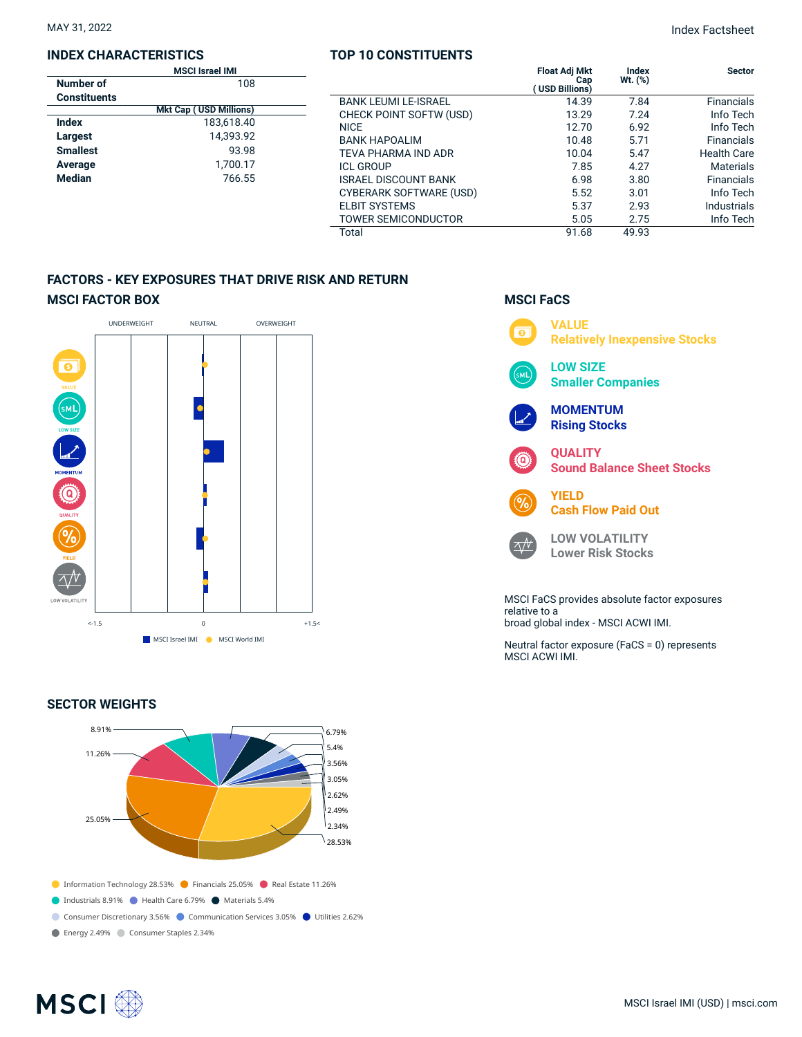# **INDEX CHARACTERISTICS**

| MAY 31, 2022 | <b>Index Factsheet</b> |
|--------------|------------------------|
|              |                        |

|                     | <b>MSCI Israel IMI</b>        |                             | <b>Float Adj Mkt</b>  | Index     | <b>Sector</b>      |
|---------------------|-------------------------------|-----------------------------|-----------------------|-----------|--------------------|
| Number of           | 108                           |                             | Cap<br>(USD Billions) | $Wt.$ (%) |                    |
| <b>Constituents</b> |                               | <b>BANK LEUMI LE-ISRAEL</b> | 14.39                 | 7.84      | <b>Financials</b>  |
|                     | <b>Mkt Cap (USD Millions)</b> | CHECK POINT SOFTW (USD)     | 13.29                 | 7.24      | Info Tech          |
| <b>Index</b>        | 183,618.40                    | <b>NICE</b>                 | 12.70                 | 6.92      | Info Tech          |
| Largest             | 14,393.92                     | <b>BANK HAPOALIM</b>        | 10.48                 | 5.71      | <b>Financials</b>  |
| <b>Smallest</b>     | 93.98                         | TEVA PHARMA IND ADR         | 10.04                 | 5.47      | <b>Health Care</b> |
| Average             | 1,700.17                      | <b>ICL GROUP</b>            | 7.85                  | 4.27      | <b>Materials</b>   |
| <b>Median</b>       | 766.55                        | <b>ISRAEL DISCOUNT BANK</b> | 6.98                  | 3.80      | <b>Financials</b>  |
|                     |                               | CYBERARK SOFTWARE (USD)     | 5.52                  | 3.01      | Info Tech          |
|                     |                               | <b>ELBIT SYSTEMS</b>        | 5.37                  | 2.93      | <b>Industrials</b> |
|                     |                               | <b>TOWER SEMICONDUCTOR</b>  | 5.05                  | 2.75      | Info Tech          |
|                     |                               | Total                       | 91.68                 | 49.93     |                    |

**TOP 10 CONSTITUENTS**

# **FACTORS - KEY EXPOSURES THAT DRIVE RISK AND RETURN MSCI FACTOR BOX**



# **SECTOR WEIGHTS**



# **MSCI FaCS**



relative to a broad global index - MSCI ACWI IMI.

Neutral factor exposure (FaCS = 0) represents MSCI ACWI IMI.